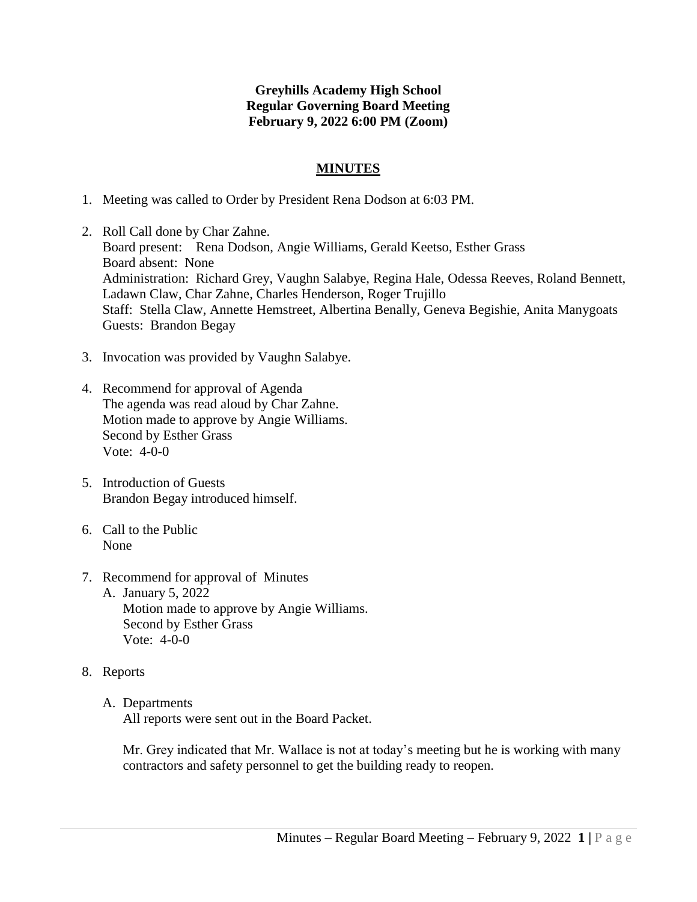## **Greyhills Academy High School Regular Governing Board Meeting February 9, 2022 6:00 PM (Zoom)**

## **MINUTES**

- 1. Meeting was called to Order by President Rena Dodson at 6:03 PM.
- 2. Roll Call done by Char Zahne. Board present: Rena Dodson, Angie Williams, Gerald Keetso, Esther Grass Board absent: None Administration: Richard Grey, Vaughn Salabye, Regina Hale, Odessa Reeves, Roland Bennett, Ladawn Claw, Char Zahne, Charles Henderson, Roger Trujillo Staff: Stella Claw, Annette Hemstreet, Albertina Benally, Geneva Begishie, Anita Manygoats Guests: Brandon Begay
- 3. Invocation was provided by Vaughn Salabye.
- 4. Recommend for approval of Agenda The agenda was read aloud by Char Zahne. Motion made to approve by Angie Williams. Second by Esther Grass Vote: 4-0-0
- 5. Introduction of Guests Brandon Begay introduced himself.
- 6. Call to the Public None
- 7. Recommend for approval of Minutes A. January 5, 2022 Motion made to approve by Angie Williams. Second by Esther Grass Vote: 4-0-0
- 8. Reports
	- A. Departments

All reports were sent out in the Board Packet.

Mr. Grey indicated that Mr. Wallace is not at today's meeting but he is working with many contractors and safety personnel to get the building ready to reopen.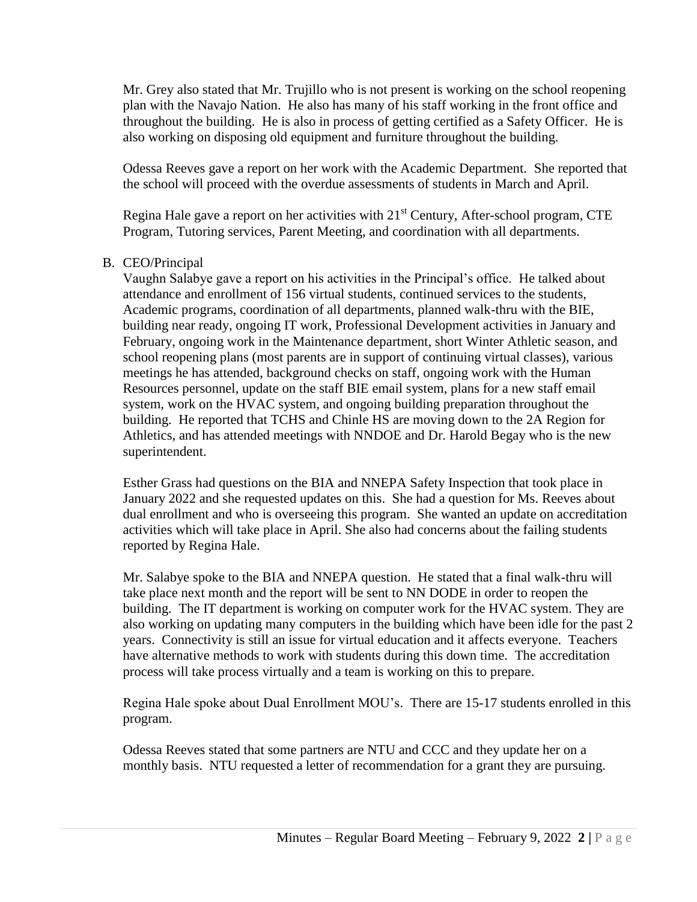Mr. Grey also stated that Mr. Trujillo who is not present is working on the school reopening plan with the Navajo Nation. He also has many of his staff working in the front office and throughout the building. He is also in process of getting certified as a Safety Officer. He is also working on disposing old equipment and furniture throughout the building.

Odessa Reeves gave a report on her work with the Academic Department. She reported that the school will proceed with the overdue assessments of students in March and April.

Regina Hale gave a report on her activities with  $21<sup>st</sup>$  Century, After-school program, CTE Program, Tutoring services, Parent Meeting, and coordination with all departments.

## B. CEO/Principal

Vaughn Salabye gave a report on his activities in the Principal's office. He talked about attendance and enrollment of 156 virtual students, continued services to the students, Academic programs, coordination of all departments, planned walk-thru with the BIE, building near ready, ongoing IT work, Professional Development activities in January and February, ongoing work in the Maintenance department, short Winter Athletic season, and school reopening plans (most parents are in support of continuing virtual classes), various meetings he has attended, background checks on staff, ongoing work with the Human Resources personnel, update on the staff BIE email system, plans for a new staff email system, work on the HVAC system, and ongoing building preparation throughout the building. He reported that TCHS and Chinle HS are moving down to the 2A Region for Athletics, and has attended meetings with NNDOE and Dr. Harold Begay who is the new superintendent.

Esther Grass had questions on the BIA and NNEPA Safety Inspection that took place in January 2022 and she requested updates on this. She had a question for Ms. Reeves about dual enrollment and who is overseeing this program. She wanted an update on accreditation activities which will take place in April. She also had concerns about the failing students reported by Regina Hale.

Mr. Salabye spoke to the BIA and NNEPA question. He stated that a final walk-thru will take place next month and the report will be sent to NN DODE in order to reopen the building. The IT department is working on computer work for the HVAC system. They are also working on updating many computers in the building which have been idle for the past 2 years. Connectivity is still an issue for virtual education and it affects everyone. Teachers have alternative methods to work with students during this down time. The accreditation process will take process virtually and a team is working on this to prepare.

Regina Hale spoke about Dual Enrollment MOU's. There are 15-17 students enrolled in this program.

Odessa Reeves stated that some partners are NTU and CCC and they update her on a monthly basis. NTU requested a letter of recommendation for a grant they are pursuing.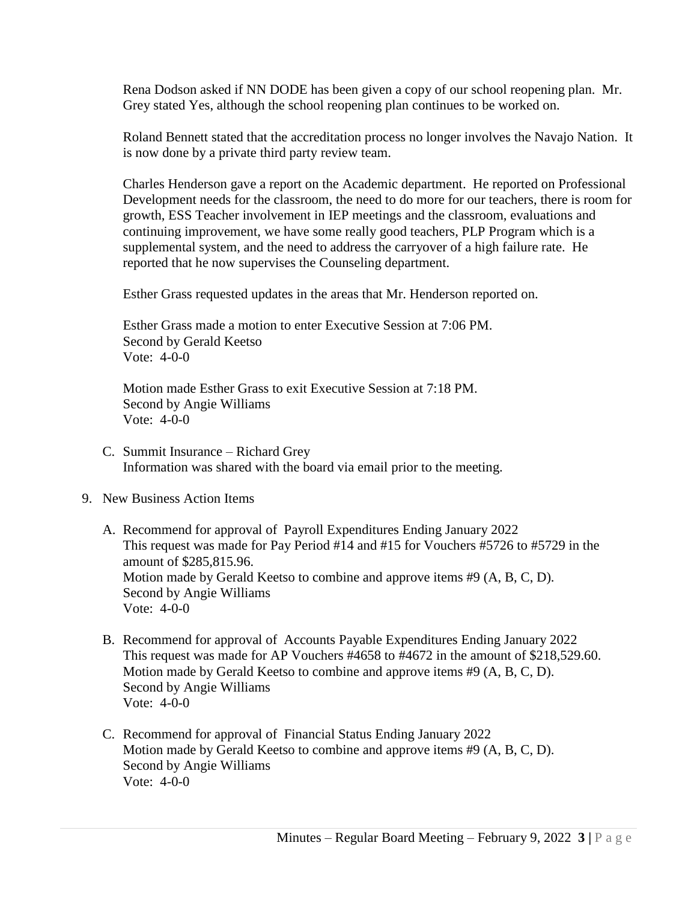Rena Dodson asked if NN DODE has been given a copy of our school reopening plan. Mr. Grey stated Yes, although the school reopening plan continues to be worked on.

Roland Bennett stated that the accreditation process no longer involves the Navajo Nation. It is now done by a private third party review team.

Charles Henderson gave a report on the Academic department. He reported on Professional Development needs for the classroom, the need to do more for our teachers, there is room for growth, ESS Teacher involvement in IEP meetings and the classroom, evaluations and continuing improvement, we have some really good teachers, PLP Program which is a supplemental system, and the need to address the carryover of a high failure rate. He reported that he now supervises the Counseling department.

Esther Grass requested updates in the areas that Mr. Henderson reported on.

Esther Grass made a motion to enter Executive Session at 7:06 PM. Second by Gerald Keetso Vote: 4-0-0

Motion made Esther Grass to exit Executive Session at 7:18 PM. Second by Angie Williams Vote: 4-0-0

- C. Summit Insurance Richard Grey Information was shared with the board via email prior to the meeting.
- 9. New Business Action Items
	- A. Recommend for approval of Payroll Expenditures Ending January 2022 This request was made for Pay Period #14 and #15 for Vouchers #5726 to #5729 in the amount of \$285,815.96. Motion made by Gerald Keetso to combine and approve items #9 (A, B, C, D). Second by Angie Williams Vote: 4-0-0
	- B. Recommend for approval of Accounts Payable Expenditures Ending January 2022 This request was made for AP Vouchers #4658 to #4672 in the amount of \$218,529.60. Motion made by Gerald Keetso to combine and approve items #9 (A, B, C, D). Second by Angie Williams Vote: 4-0-0
	- C. Recommend for approval of Financial Status Ending January 2022 Motion made by Gerald Keetso to combine and approve items #9 (A, B, C, D). Second by Angie Williams Vote: 4-0-0